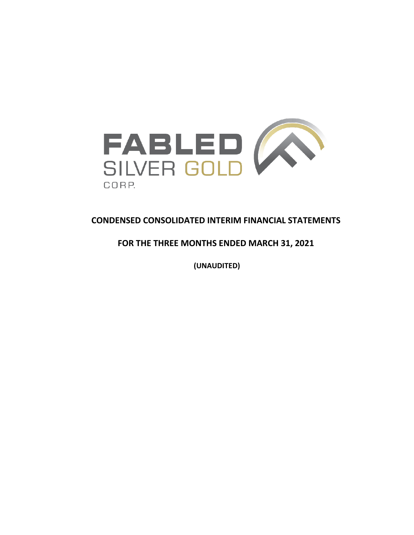

# **CONDENSED CONSOLIDATED INTERIM FINANCIAL STATEMENTS**

# **FOR THE THREE MONTHS ENDED MARCH 31, 2021**

**(UNAUDITED)**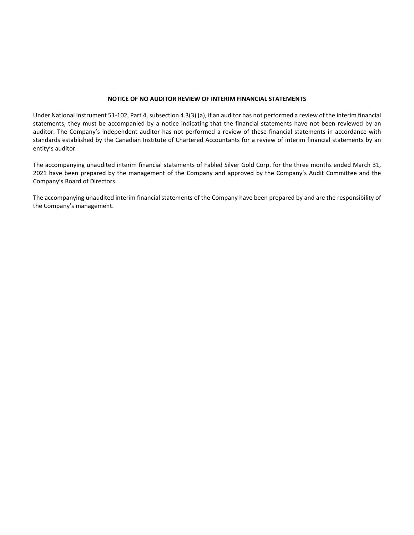## **NOTICE OF NO AUDITOR REVIEW OF INTERIM FINANCIAL STATEMENTS**

Under National Instrument 51-102, Part 4, subsection 4.3(3) (a), if an auditor has not performed a review of the interim financial statements, they must be accompanied by a notice indicating that the financial statements have not been reviewed by an auditor. The Company's independent auditor has not performed a review of these financial statements in accordance with standards established by the Canadian Institute of Chartered Accountants for a review of interim financial statements by an entity's auditor.

The accompanying unaudited interim financial statements of Fabled Silver Gold Corp. for the three months ended March 31, 2021 have been prepared by the management of the Company and approved by the Company's Audit Committee and the Company's Board of Directors.

The accompanying unaudited interim financial statements of the Company have been prepared by and are the responsibility of the Company's management.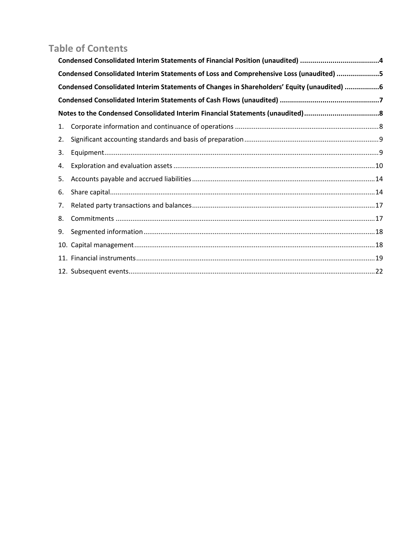# **Table of Contents**

|    | Condensed Consolidated Interim Statements of Financial Position (unaudited) 4              |  |
|----|--------------------------------------------------------------------------------------------|--|
|    | Condensed Consolidated Interim Statements of Loss and Comprehensive Loss (unaudited) 5     |  |
|    | Condensed Consolidated Interim Statements of Changes in Shareholders' Equity (unaudited) 6 |  |
|    |                                                                                            |  |
|    | Notes to the Condensed Consolidated Interim Financial Statements (unaudited)8              |  |
| 1. |                                                                                            |  |
| 2. |                                                                                            |  |
| 3. |                                                                                            |  |
| 4. |                                                                                            |  |
| 5. |                                                                                            |  |
| 6. |                                                                                            |  |
| 7. |                                                                                            |  |
| 8. |                                                                                            |  |
| 9. |                                                                                            |  |
|    |                                                                                            |  |
|    |                                                                                            |  |
|    |                                                                                            |  |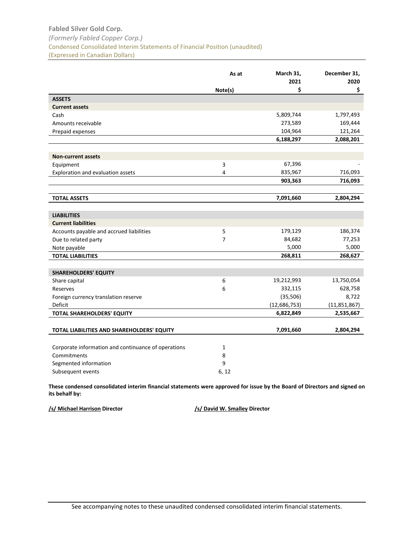# <span id="page-3-0"></span>**Fabled Silver Gold Corp.** *(Formerly Fabled Copper Corp.)* Condensed Consolidated Interim Statements of Financial Position (unaudited) (Expressed in Canadian Dollars)

|                                                     | As at          | March 31,<br>2021 | December 31,<br>2020 |
|-----------------------------------------------------|----------------|-------------------|----------------------|
|                                                     | Note(s)        | \$                | \$                   |
| <b>ASSETS</b>                                       |                |                   |                      |
| <b>Current assets</b>                               |                |                   |                      |
| Cash                                                |                | 5,809,744         | 1,797,493            |
| Amounts receivable                                  |                | 273,589           | 169,444              |
| Prepaid expenses                                    |                | 104,964           | 121,264              |
|                                                     |                | 6,188,297         | 2,088,201            |
|                                                     |                |                   |                      |
| <b>Non-current assets</b>                           |                |                   |                      |
| Equipment                                           | 3              | 67,396            |                      |
| Exploration and evaluation assets                   | 4              | 835,967           | 716,093              |
|                                                     |                | 903,363           | 716,093              |
| <b>TOTAL ASSETS</b>                                 |                | 7,091,660         | 2,804,294            |
|                                                     |                |                   |                      |
| <b>LIABILITIES</b>                                  |                |                   |                      |
| <b>Current liabilities</b>                          |                |                   |                      |
| Accounts payable and accrued liabilities            | 5              | 179,129           | 186,374              |
| Due to related party                                | $\overline{7}$ | 84,682            | 77,253               |
| Note payable                                        |                | 5,000             | 5,000                |
| <b>TOTAL LIABILITIES</b>                            |                | 268,811           | 268,627              |
|                                                     |                |                   |                      |
| <b>SHAREHOLDERS' EQUITY</b>                         |                |                   |                      |
| Share capital                                       | 6              | 19,212,993        | 13,750,054           |
| Reserves                                            | 6              | 332,115           | 628,758              |
| Foreign currency translation reserve                |                | (35, 506)         | 8,722                |
| Deficit                                             |                | (12, 686, 753)    | (11,851,867)         |
| TOTAL SHAREHOLDERS' EQUITY                          |                | 6,822,849         | 2,535,667            |
| TOTAL LIABILITIES AND SHAREHOLDERS' EQUITY          |                | 7,091,660         | 2,804,294            |
| Corporate information and continuance of operations | $\mathbf{1}$   |                   |                      |
| Commitments                                         | 8              |                   |                      |
| Segmented information                               | 9              |                   |                      |
| Subsequent events                                   | 6.12           |                   |                      |

**These condensed consolidated interim financial statements were approved for issue by the Board of Directors and signed on its behalf by:**

**/s/ Michael Harrison Director /s/ David W. Smalley Director**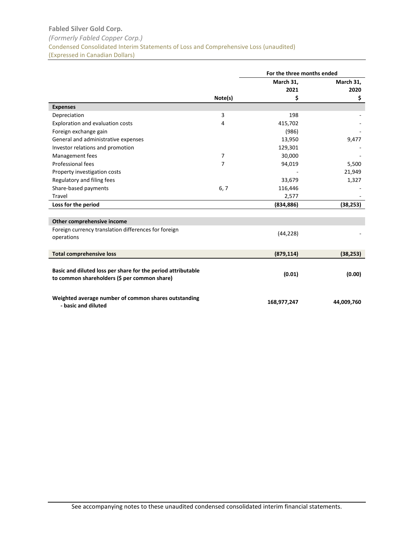# <span id="page-4-0"></span>**Fabled Silver Gold Corp.** *(Formerly Fabled Copper Corp.)* Condensed Consolidated Interim Statements of Loss and Comprehensive Loss (unaudited) (Expressed in Canadian Dollars)

|                                                                                                              |         | For the three months ended |            |
|--------------------------------------------------------------------------------------------------------------|---------|----------------------------|------------|
|                                                                                                              |         | March 31,                  | March 31,  |
|                                                                                                              |         | 2021                       | 2020       |
|                                                                                                              | Note(s) | \$                         | \$         |
| <b>Expenses</b>                                                                                              |         |                            |            |
| Depreciation                                                                                                 | 3       | 198                        |            |
| <b>Exploration and evaluation costs</b>                                                                      | 4       | 415,702                    |            |
| Foreign exchange gain                                                                                        |         | (986)                      |            |
| General and administrative expenses                                                                          |         | 13,950                     | 9,477      |
| Investor relations and promotion                                                                             |         | 129,301                    |            |
| Management fees                                                                                              | 7       | 30,000                     |            |
| Professional fees                                                                                            | 7       | 94,019                     | 5,500      |
| Property investigation costs                                                                                 |         |                            | 21,949     |
| Regulatory and filing fees                                                                                   |         | 33,679                     | 1,327      |
| Share-based payments                                                                                         | 6, 7    | 116,446                    |            |
| Travel                                                                                                       |         | 2,577                      |            |
| Loss for the period                                                                                          |         | (834, 886)                 | (38, 253)  |
|                                                                                                              |         |                            |            |
| Other comprehensive income                                                                                   |         |                            |            |
| Foreign currency translation differences for foreign<br>operations                                           |         | (44, 228)                  |            |
| <b>Total comprehensive loss</b>                                                                              |         | (879, 114)                 | (38, 253)  |
| Basic and diluted loss per share for the period attributable<br>to common shareholders (\$ per common share) |         | (0.01)                     | (0.00)     |
| Weighted average number of common shares outstanding<br>- basic and diluted                                  |         | 168,977,247                | 44,009,760 |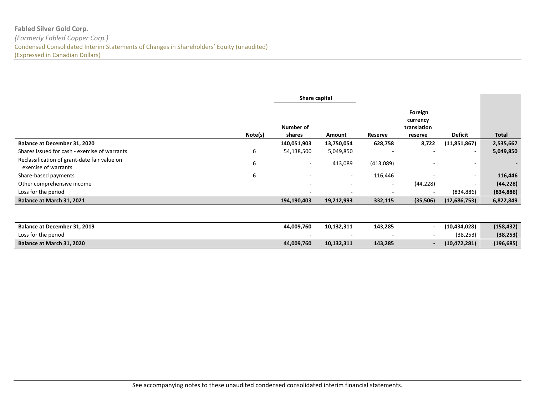# **Fabled Silver Gold Corp.** *(Formerly Fabled Copper Corp.)* Condensed Consolidated Interim Statements of Changes in Shareholders' Equity (unaudited) (Expressed in Canadian Dollars)

|                                                                      |         | Share capital       |            |                          |                                               |                |                          |
|----------------------------------------------------------------------|---------|---------------------|------------|--------------------------|-----------------------------------------------|----------------|--------------------------|
|                                                                      | Note(s) | Number of<br>shares | Amount     | Reserve                  | Foreign<br>currency<br>translation<br>reserve | <b>Deficit</b> | <b>Total</b>             |
| Balance at December 31, 2020                                         |         | 140,051,903         | 13,750,054 | 628,758                  | 8,722                                         | (11,851,867)   | 2,535,667                |
| Shares issued for cash - exercise of warrants                        | 6       | 54,138,500          | 5,049,850  | $\overline{\phantom{a}}$ |                                               |                | 5,049,850                |
| Reclassification of grant-date fair value on<br>exercise of warrants | 6       | $\sim$              | 413,089    | (413,089)                |                                               |                | $\overline{\phantom{0}}$ |
| Share-based payments                                                 | 6       | ۰                   | $\sim$     | 116,446                  |                                               |                | 116,446                  |
| Other comprehensive income                                           |         | -                   |            | -                        | (44, 228)                                     |                | (44, 228)                |
| Loss for the period                                                  |         |                     |            | $\overline{\phantom{a}}$ |                                               | (834, 886)     | (834, 886)               |
| Balance at March 31, 2021                                            |         | 194,190,403         | 19,212,993 | 332,115                  | (35,506)                                      | (12,686,753)   | 6,822,849                |

<span id="page-5-0"></span>

| Balance at December 31, 2019 | 44.009.760 | 10.132.311 | 143,285 | (10, 434, 028) | (158, 432) |
|------------------------------|------------|------------|---------|----------------|------------|
| Loss for the period          |            |            |         | (38, 253)      | (38, 253)  |
| Balance at March 31, 2020    | 44,009,760 | 10.132.311 | 143,285 | (10, 472, 281) | (196, 685) |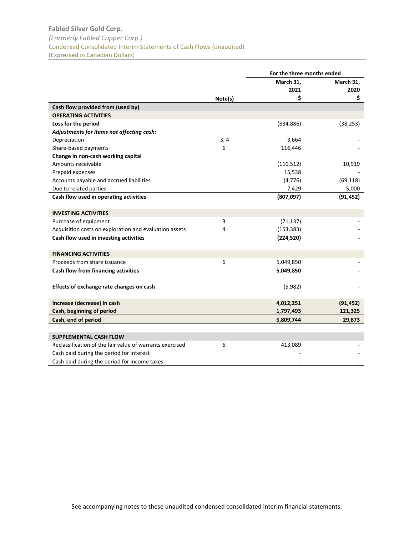<span id="page-6-0"></span>

|                                                          |         | For the three months ended |           |
|----------------------------------------------------------|---------|----------------------------|-----------|
|                                                          |         | March 31,                  | March 31, |
|                                                          |         | 2021                       | 2020      |
|                                                          | Note(s) | \$                         | \$        |
| Cash flow provided from (used by)                        |         |                            |           |
| <b>OPERATING ACTIVITIES</b>                              |         |                            |           |
| Loss for the period                                      |         | (834, 886)                 | (38, 253) |
| Adjustments for items not affecting cash:                |         |                            |           |
| Depreciation                                             | 3, 4    | 3,664                      |           |
| Share-based payments                                     | 6       | 116,446                    |           |
| Change in non-cash working capital                       |         |                            |           |
| Amounts receivable                                       |         | (110, 512)                 | 10,919    |
| Prepaid expenses                                         |         | 15,538                     |           |
| Accounts payable and accrued liabilities                 |         | (4, 776)                   | (69, 118) |
| Due to related parties                                   |         | 7,429                      | 5,000     |
| Cash flow used in operating activities                   |         | (807,097)                  | (91, 452) |
|                                                          |         |                            |           |
| <b>INVESTING ACTIVITIES</b>                              |         |                            |           |
| Purchase of equipment                                    | 3       | (71, 137)                  |           |
| Acquisition costs on exploration and evaluation assets   | 4       | (153, 383)                 |           |
| Cash flow used in investing activities                   |         | (224, 520)                 |           |
| <b>FINANCING ACTIVITIES</b>                              |         |                            |           |
| Proceeds from share issuance                             | 6       | 5,049,850                  |           |
| Cash flow from financing activities                      |         | 5,049,850                  |           |
|                                                          |         |                            |           |
| Effects of exchange rate changes on cash                 |         | (5,982)                    |           |
|                                                          |         |                            |           |
| Increase (decrease) in cash                              |         | 4,012,251                  | (91, 452) |
| Cash, beginning of period                                |         | 1,797,493                  | 121,325   |
| Cash, end of period                                      |         | 5,809,744                  | 29,873    |
|                                                          |         |                            |           |
| <b>SUPPLEMENTAL CASH FLOW</b>                            |         |                            |           |
| Reclassification of the fair value of warrants exercised | 6       | 413,089                    |           |
| Cash paid during the period for interest                 |         |                            |           |
| Cash paid during the period for income taxes             |         |                            |           |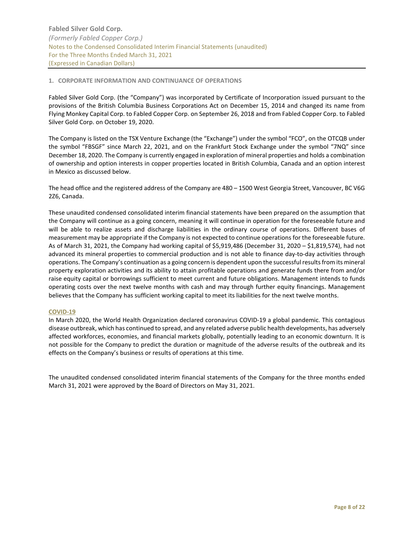## <span id="page-7-1"></span><span id="page-7-0"></span>**1. CORPORATE INFORMATION AND CONTINUANCE OF OPERATIONS**

Fabled Silver Gold Corp. (the "Company") was incorporated by Certificate of Incorporation issued pursuant to the provisions of the British Columbia Business Corporations Act on December 15, 2014 and changed its name from Flying Monkey Capital Corp. to Fabled Copper Corp. on September 26, 2018 and from Fabled Copper Corp. to Fabled Silver Gold Corp. on October 19, 2020.

The Company is listed on the TSX Venture Exchange (the "Exchange") under the symbol "FCO", on the OTCQB under the symbol "FBSGF" since March 22, 2021, and on the Frankfurt Stock Exchange under the symbol "7NQ" since December 18, 2020. The Company is currently engaged in exploration of mineral properties and holds a combination of ownership and option interests in copper properties located in British Columbia, Canada and an option interest in Mexico as discussed below.

The head office and the registered address of the Company are 480 – 1500 West Georgia Street, Vancouver, BC V6G 2Z6, Canada.

These unaudited condensed consolidated interim financial statements have been prepared on the assumption that the Company will continue as a going concern, meaning it will continue in operation for the foreseeable future and will be able to realize assets and discharge liabilities in the ordinary course of operations. Different bases of measurement may be appropriate if the Company is not expected to continue operations for the foreseeable future. As of March 31, 2021, the Company had working capital of \$5,919,486 (December 31, 2020 – \$1,819,574), had not advanced its mineral properties to commercial production and is not able to finance day-to-day activities through operations. The Company's continuation as a going concern is dependent upon the successfulresults from its mineral property exploration activities and its ability to attain profitable operations and generate funds there from and/or raise equity capital or borrowings sufficient to meet current and future obligations. Management intends to funds operating costs over the next twelve months with cash and may through further equity financings. Management believes that the Company has sufficient working capital to meet its liabilities for the next twelve months.

## **COVID-19**

In March 2020, the World Health Organization declared coronavirus COVID-19 a global pandemic. This contagious disease outbreak, which has continued to spread, and any related adverse public health developments, has adversely affected workforces, economies, and financial markets globally, potentially leading to an economic downturn. It is not possible for the Company to predict the duration or magnitude of the adverse results of the outbreak and its effects on the Company's business or results of operations at this time.

The unaudited condensed consolidated interim financial statements of the Company for the three months ended March 31, 2021 were approved by the Board of Directors on May 31, 2021.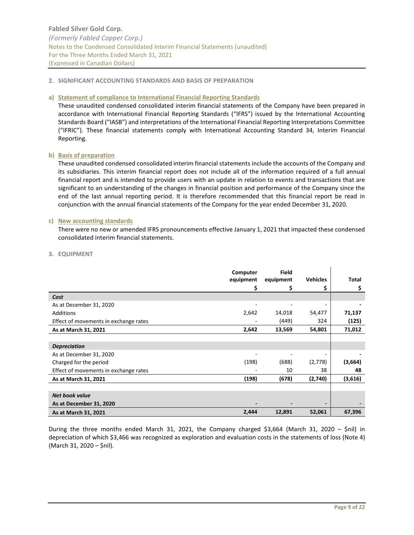## <span id="page-8-0"></span>**2. SIGNIFICANT ACCOUNTING STANDARDS AND BASIS OF PREPARATION**

## **a) Statement of compliance to International Financial Reporting Standards**

These unaudited condensed consolidated interim financial statements of the Company have been prepared in accordance with International Financial Reporting Standards ("IFRS") issued by the International Accounting Standards Board ("IASB") and interpretations of the International Financial Reporting Interpretations Committee ("IFRIC"). These financial statements comply with International Accounting Standard 34, Interim Financial Reporting.

## **b) Basis of preparation**

These unaudited condensed consolidated interim financial statements include the accounts of the Company and its subsidiaries. This interim financial report does not include all of the information required of a full annual financial report and is intended to provide users with an update in relation to events and transactions that are significant to an understanding of the changes in financial position and performance of the Company since the end of the last annual reporting period. It is therefore recommended that this financial report be read in conjunction with the annual financial statements of the Company for the year ended December 31, 2020.

## **c) New accounting standards**

There were no new or amended IFRS pronouncements effective January 1, 2021 that impacted these condensed consolidated interim financial statements.

<span id="page-8-1"></span>

|                                       | Computer  | <b>Field</b> |                 |              |
|---------------------------------------|-----------|--------------|-----------------|--------------|
|                                       | equipment | equipment    | <b>Vehicles</b> | <b>Total</b> |
|                                       | Ş         |              |                 | \$           |
| Cost                                  |           |              |                 |              |
| As at December 31, 2020               |           |              |                 |              |
| Additions                             | 2,642     | 14,018       | 54,477          | 71,137       |
| Effect of movements in exchange rates |           | (449)        | 324             | (125)        |
| As at March 31, 2021                  | 2,642     | 13,569       | 54,801          | 71,012       |
|                                       |           |              |                 |              |
| <b>Depreciation</b>                   |           |              |                 |              |
| As at December 31, 2020               |           |              |                 |              |
| Charged for the period                | (198)     | (688)        | (2,778)         | (3,664)      |
| Effect of movements in exchange rates |           | 10           | 38              | 48           |
| As at March 31, 2021                  | (198)     | (678)        | (2,740)         | (3,616)      |
|                                       |           |              |                 |              |
| <b>Net book value</b>                 |           |              |                 |              |
| As at December 31, 2020               |           |              |                 |              |
| As at March 31, 2021                  | 2,444     | 12,891       | 52,061          | 67,396       |

During the three months ended March 31, 2021, the Company charged \$3,664 (March 31, 2020 – \$nil) in depreciation of which \$3,466 was recognized as exploration and evaluation costs in the statements of loss (Note 4) (March 31, 2020 – \$nil).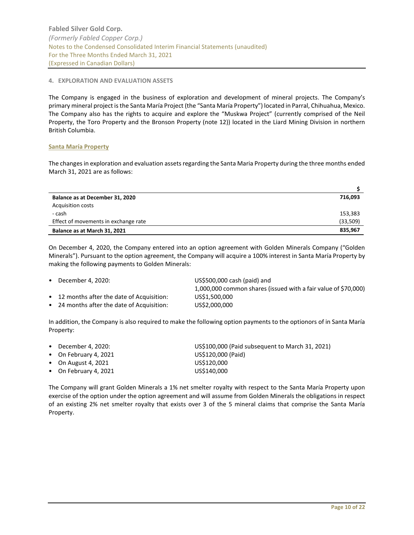## <span id="page-9-0"></span>**4. EXPLORATION AND EVALUATION ASSETS**

The Company is engaged in the business of exploration and development of mineral projects. The Company's primary mineral project is the Santa María Project (the "Santa María Property") located in Parral, Chihuahua, Mexico. The Company also has the rights to acquire and explore the "Muskwa Project" (currently comprised of the Neil Property, the Toro Property and the Bronson Property (note 12)) located in the Liard Mining Division in northern British Columbia.

## **Santa María Property**

The changes in exploration and evaluation assets regarding the Santa Maria Property during the three months ended March 31, 2021 are as follows:

| Balance as at December 31, 2020      | 716.093  |
|--------------------------------------|----------|
| <b>Acquisition costs</b>             |          |
| - cash                               | 153,383  |
| Effect of movements in exchange rate | (33,509) |
| Balance as at March 31, 2021         | 835,967  |

On December 4, 2020, the Company entered into an option agreement with Golden Minerals Company ("Golden Minerals"). Pursuant to the option agreement, the Company will acquire a 100% interest in Santa María Property by making the following payments to Golden Minerals:

| $\bullet$ December 4, 2020:                | US\$500,000 cash (paid) and                                    |
|--------------------------------------------|----------------------------------------------------------------|
|                                            | 1,000,000 common shares (issued with a fair value of \$70,000) |
| • 12 months after the date of Acquisition: | US\$1,500,000                                                  |
| • 24 months after the date of Acquisition: | US\$2,000,000                                                  |
|                                            |                                                                |

In addition, the Company is also required to make the following option payments to the optionors of in Santa María Property:

| $\bullet$ December 4, 2020: | US\$100,000 (Paid subsequent to March 31, 2021) |
|-----------------------------|-------------------------------------------------|
| • On February 4, 2021       | US\$120,000 (Paid)                              |
| $\bullet$ On August 4, 2021 | US\$120,000                                     |
| • On February 4, 2021       | US\$140,000                                     |
|                             |                                                 |

The Company will grant Golden Minerals a 1% net smelter royalty with respect to the Santa María Property upon exercise of the option under the option agreement and will assume from Golden Minerals the obligations in respect of an existing 2% net smelter royalty that exists over 3 of the 5 mineral claims that comprise the Santa María Property.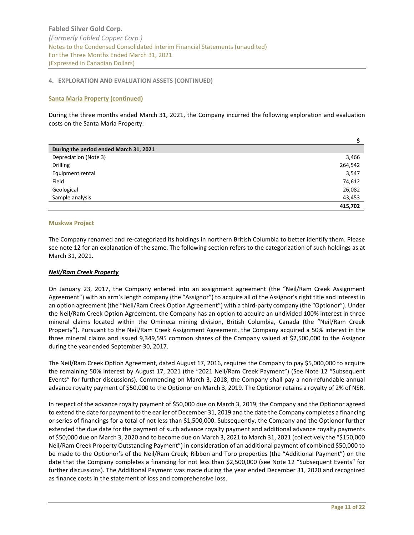## **4. EXPLORATION AND EVALUATION ASSETS (CONTINUED)**

## **Santa María Property (continued)**

During the three months ended March 31, 2021, the Company incurred the following exploration and evaluation costs on the Santa Maria Property:

| During the period ended March 31, 2021 |         |
|----------------------------------------|---------|
| Depreciation (Note 3)                  | 3,466   |
| <b>Drilling</b>                        | 264,542 |
| Equipment rental                       | 3,547   |
| Field                                  | 74,612  |
| Geological                             | 26,082  |
| Sample analysis                        | 43,453  |
|                                        | 415,702 |

## **Muskwa Project**

The Company renamed and re-categorized its holdings in northern British Columbia to better identify them. Please see note 12 for an explanation of the same. The following section refers to the categorization of such holdings as at March 31, 2021.

# *Neil/Ram Creek Property*

On January 23, 2017, the Company entered into an assignment agreement (the "Neil/Ram Creek Assignment Agreement") with an arm's length company (the "Assignor") to acquire all of the Assignor's right title and interest in an option agreement (the "Neil/Ram Creek Option Agreement") with a third-party company (the "Optionor"). Under the Neil/Ram Creek Option Agreement, the Company has an option to acquire an undivided 100% interest in three mineral claims located within the Omineca mining division, British Columbia, Canada (the "Neil/Ram Creek Property"). Pursuant to the Neil/Ram Creek Assignment Agreement, the Company acquired a 50% interest in the three mineral claims and issued 9,349,595 common shares of the Company valued at \$2,500,000 to the Assignor during the year ended September 30, 2017.

The Neil/Ram Creek Option Agreement, dated August 17, 2016, requires the Company to pay \$5,000,000 to acquire the remaining 50% interest by August 17, 2021 (the "2021 Neil/Ram Creek Payment") (See Note 12 "Subsequent Events" for further discussions). Commencing on March 3, 2018, the Company shall pay a non-refundable annual advance royalty payment of \$50,000 to the Optionor on March 3, 2019. The Optionor retains a royalty of 2% of NSR.

In respect of the advance royalty payment of \$50,000 due on March 3, 2019, the Company and the Optionor agreed to extend the date for payment to the earlier of December 31, 2019 and the date the Company completes a financing or series of financings for a total of not less than \$1,500,000. Subsequently, the Company and the Optionor further extended the due date for the payment of such advance royalty payment and additional advance royalty payments of \$50,000 due on March 3, 2020 and to become due on March 3, 2021 to March 31, 2021 (collectively the "\$150,000 Neil/Ram Creek Property Outstanding Payment") in consideration of an additional payment of combined \$50,000 to be made to the Optionor's of the Neil/Ram Creek, Ribbon and Toro properties (the "Additional Payment") on the date that the Company completes a financing for not less than \$2,500,000 (see Note 12 "Subsequent Events" for further discussions). The Additional Payment was made during the year ended December 31, 2020 and recognized as finance costs in the statement of loss and comprehensive loss.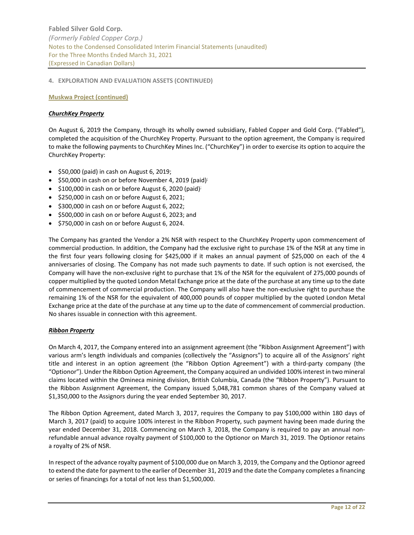## **4. EXPLORATION AND EVALUATION ASSETS (CONTINUED)**

**Muskwa Project (continued)**

## *ChurchKey Property*

On August 6, 2019 the Company, through its wholly owned subsidiary, Fabled Copper and Gold Corp. ("Fabled"), completed the acquisition of the ChurchKey Property. Pursuant to the option agreement, the Company is required to make the following payments to ChurchKey Mines Inc. ("ChurchKey") in order to exercise its option to acquire the ChurchKey Property:

- $\bullet$  \$50,000 (paid) in cash on August 6, 2019;
- $\bullet$  \$50,000 in cash on or before November 4, 2019 (paid);
- $\bullet$  \$100,000 in cash on or before August 6, 2020 (paid)<sup>;</sup>
- \$250,000 in cash on or before August 6, 2021;
- \$300,000 in cash on or before August 6, 2022;
- \$500,000 in cash on or before August 6, 2023; and
- \$750,000 in cash on or before August 6, 2024.

The Company has granted the Vendor a 2% NSR with respect to the ChurchKey Property upon commencement of commercial production. In addition, the Company had the exclusive right to purchase 1% of the NSR at any time in the first four years following closing for \$425,000 if it makes an annual payment of \$25,000 on each of the 4 anniversaries of closing. The Company has not made such payments to date. If such option is not exercised, the Company will have the non-exclusive right to purchase that 1% of the NSR for the equivalent of 275,000 pounds of copper multiplied by the quoted London Metal Exchange price at the date of the purchase at any time up to the date of commencement of commercial production. The Company will also have the non-exclusive right to purchase the remaining 1% of the NSR for the equivalent of 400,000 pounds of copper multiplied by the quoted London Metal Exchange price at the date of the purchase at any time up to the date of commencement of commercial production. No shares issuable in connection with this agreement.

## *Ribbon Property*

On March 4, 2017, the Company entered into an assignment agreement (the "Ribbon Assignment Agreement") with various arm's length individuals and companies (collectively the "Assignors") to acquire all of the Assignors' right title and interest in an option agreement (the "Ribbon Option Agreement") with a third-party company (the "Optionor"). Under the Ribbon Option Agreement, the Company acquired an undivided 100% interest in two mineral claims located within the Omineca mining division, British Columbia, Canada (the "Ribbon Property"). Pursuant to the Ribbon Assignment Agreement, the Company issued 5,048,781 common shares of the Company valued at \$1,350,000 to the Assignors during the year ended September 30, 2017.

The Ribbon Option Agreement, dated March 3, 2017, requires the Company to pay \$100,000 within 180 days of March 3, 2017 (paid) to acquire 100% interest in the Ribbon Property, such payment having been made during the year ended December 31, 2018. Commencing on March 3, 2018, the Company is required to pay an annual nonrefundable annual advance royalty payment of \$100,000 to the Optionor on March 31, 2019. The Optionor retains a royalty of 2% of NSR.

In respect of the advance royalty payment of \$100,000 due on March 3, 2019, the Company and the Optionor agreed to extend the date for payment to the earlier of December 31, 2019 and the date the Company completes a financing or series of financings for a total of not less than \$1,500,000.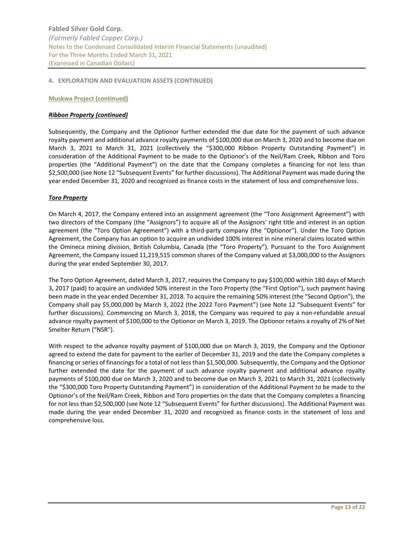## **4. EXPLORATION AND EVALUATION ASSETS (CONTINUED)**

## **Muskwa Project (continued)**

## *Ribbon Property (continued)*

Subsequently, the Company and the Optionor further extended the due date for the payment of such advance royalty payment and additional advance royalty payments of \$100,000 due on March 3, 2020 and to become due on March 3, 2021 to March 31, 2021 (collectively the "\$300,000 Ribbon Property Outstanding Payment") in consideration of the Additional Payment to be made to the Optionor's of the Neil/Ram Creek, Ribbon and Toro properties (the "Additional Payment") on the date that the Company completes a financing for not less than \$2,500,000 (see Note 12 "Subsequent Events" for further discussions). The Additional Payment was made during the year ended December 31, 2020 and recognized as finance costs in the statement of loss and comprehensive loss.

## *Toro Property*

On March 4, 2017, the Company entered into an assignment agreement (the "Toro Assignment Agreement") with two directors of the Company (the "Assignors") to acquire all of the Assignors' right title and interest in an option agreement (the "Toro Option Agreement") with a third-party company (the "Optionor"). Under the Toro Option Agreement, the Company has an option to acquire an undivided 100% interest in nine mineral claims located within the Omineca mining division, British Columbia, Canada (the "Toro Property"). Pursuant to the Toro Assignment Agreement, the Company issued 11,219,515 common shares of the Company valued at \$3,000,000 to the Assignors during the year ended September 30, 2017.

The Toro Option Agreement, dated March 3, 2017, requires the Company to pay \$100,000 within 180 days of March 3, 2017 (paid) to acquire an undivided 50% interest in the Toro Property (the "First Option"), such payment having been made in the year ended December 31, 2018. To acquire the remaining 50% interest (the "Second Option"), the Company shall pay \$5,000,000 by March 3, 2022 (the 2022 Toro Payment") (see Note 12 "Subsequent Events" for further discussions). Commencing on March 3, 2018, the Company was required to pay a non-refundable annual advance royalty payment of \$100,000 to the Optionor on March 3, 2019. The Optionor retains a royalty of 2% of Net Smelter Return ("NSR").

With respect to the advance royalty payment of \$100,000 due on March 3, 2019, the Company and the Optionor agreed to extend the date for payment to the earlier of December 31, 2019 and the date the Company completes a financing or series of financings for a total of not less than \$1,500,000. Subsequently, the Company and the Optionor further extended the date for the payment of such advance royalty payment and additional advance royalty payments of \$100,000 due on March 3, 2020 and to become due on March 3, 2021 to March 31, 2021 (collectively the "\$300,000 Toro Property Outstanding Payment") in consideration of the Additional Payment to be made to the Optionor's of the Neil/Ram Creek, Ribbon and Toro properties on the date that the Company completes a financing for not less than \$2,500,000 (see Note 12 "Subsequent Events" for further discussions). The Additional Payment was made during the year ended December 31, 2020 and recognized as finance costs in the statement of loss and comprehensive loss.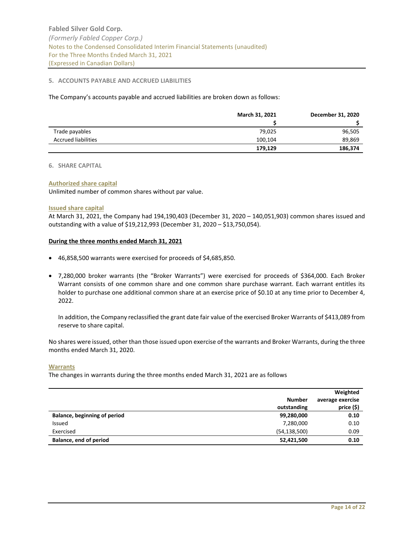## <span id="page-13-0"></span>**5. ACCOUNTS PAYABLE AND ACCRUED LIABILITIES**

The Company's accounts payable and accrued liabilities are broken down as follows:

|                            | March 31, 2021 | December 31, 2020 |
|----------------------------|----------------|-------------------|
|                            |                |                   |
| Trade payables             | 79,025         | 96,505            |
| <b>Accrued liabilities</b> | 100,104        | 89,869            |
|                            | 179,129        | 186,374           |

#### <span id="page-13-1"></span>**6. SHARE CAPITAL**

## **Authorized share capital**

Unlimited number of common shares without par value.

#### **Issued share capital**

At March 31, 2021, the Company had 194,190,403 (December 31, 2020 – 140,051,903) common shares issued and outstanding with a value of \$19,212,993 (December 31, 2020 – \$13,750,054).

## **During the three months ended March 31, 2021**

- 46,858,500 warrants were exercised for proceeds of \$4,685,850.
- 7,280,000 broker warrants (the "Broker Warrants") were exercised for proceeds of \$364,000. Each Broker Warrant consists of one common share and one common share purchase warrant. Each warrant entitles its holder to purchase one additional common share at an exercise price of \$0.10 at any time prior to December 4, 2022.

In addition, the Company reclassified the grant date fair value of the exercised Broker Warrants of \$413,089 from reserve to share capital.

No shares were issued, other than those issued upon exercise of the warrants and Broker Warrants, during the three months ended March 31, 2020.

## **Warrants**

The changes in warrants during the three months ended March 31, 2021 are as follows

|                              | <b>Number</b>  | Weighted<br>average exercise |
|------------------------------|----------------|------------------------------|
|                              | outstanding    | price (\$)                   |
| Balance, beginning of period | 99,280,000     | 0.10                         |
| Issued                       | 7,280,000      | 0.10                         |
| Exercised                    | (54, 138, 500) | 0.09                         |
| Balance, end of period       | 52,421,500     | 0.10                         |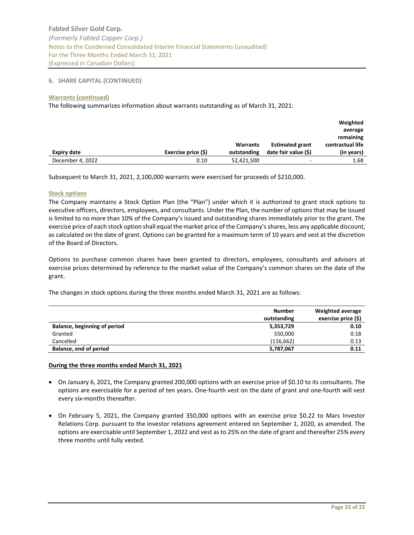## **6. SHARE CAPITAL (CONTINUED)**

## **Warrants (continued)**

The following summarizes information about warrants outstanding as of March 31, 2021:

|                    |                     |             |                          | Weighted         |
|--------------------|---------------------|-------------|--------------------------|------------------|
|                    |                     |             |                          | average          |
|                    |                     |             |                          | remaining        |
|                    |                     | Warrants    | <b>Estimated grant</b>   | contractual life |
| <b>Expiry date</b> | Exercise price (\$) | outstanding | date fair value (\$)     | (in years)       |
| December 4, 2022   | 0.10                | 52,421,500  | $\overline{\phantom{0}}$ | 1.68             |

Subsequent to March 31, 2021, 2,100,000 warrants were exercised for proceeds of \$210,000.

# **Stock options**

The Company maintains a Stock Option Plan (the "Plan") under which it is authorized to grant stock options to executive officers, directors, employees, and consultants. Under the Plan, the number of options that may be issued is limited to no more than 10% of the Company's issued and outstanding shares immediately prior to the grant. The exercise price of each stock option shall equal the market price of the Company's shares, less any applicable discount, as calculated on the date of grant. Options can be granted for a maximum term of 10 years and vest at the discretion of the Board of Directors.

Options to purchase common shares have been granted to directors, employees, consultants and advisors at exercise prices determined by reference to the market value of the Company's common shares on the date of the grant.

The changes in stock options during the three months ended March 31, 2021 are as follows:

|                                     | <b>Number</b><br>outstanding | Weighted average<br>exercise price (\$) |
|-------------------------------------|------------------------------|-----------------------------------------|
| <b>Balance, beginning of period</b> | 5,353,729                    | 0.10                                    |
| Granted                             | 550.000                      | 0.18                                    |
| Cancelled                           | (116, 662)                   | 0.13                                    |
| Balance, end of period              | 5,787,067                    | 0.11                                    |

# **During the three months ended March 31, 2021**

- On January 6, 2021, the Company granted 200,000 options with an exercise price of \$0.10 to its consultants. The options are exercisable for a period of ten years. One-fourth vest on the date of grant and one-fourth will vest every six-months thereafter.
- On February 5, 2021, the Company granted 350,000 options with an exercise price \$0.22 to Mars Investor Relations Corp. pursuant to the investor relations agreement entered on September 1, 2020, as amended. The options are exercisable until September 1, 2022 and vest as to 25% on the date of grant and thereafter 25% every three months until fully vested.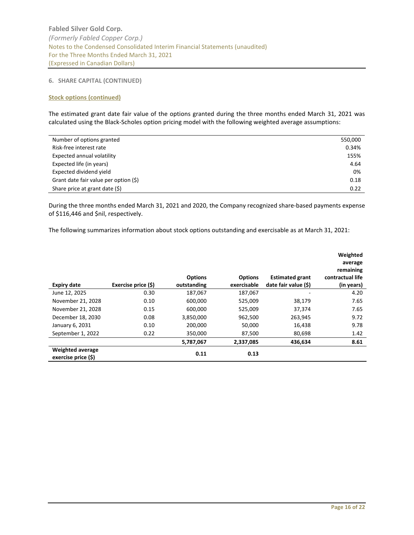## **6. SHARE CAPITAL (CONTINUED)**

# **Stock options (continued)**

The estimated grant date fair value of the options granted during the three months ended March 31, 2021 was calculated using the Black-Scholes option pricing model with the following weighted average assumptions:

| Number of options granted             | 550,000 |
|---------------------------------------|---------|
| Risk-free interest rate               | 0.34%   |
| Expected annual volatility            | 155%    |
| Expected life (in years)              | 4.64    |
| Expected dividend yield               | 0%      |
| Grant date fair value per option (\$) | 0.18    |
| Share price at grant date (\$)        | 0.22    |

During the three months ended March 31, 2021 and 2020, the Company recognized share-based payments expense of \$116,446 and \$nil, respectively.

The following summarizes information about stock options outstanding and exercisable as at March 31, 2021:

| Expiry date                             | Exercise price (\$) | <b>Options</b><br>outstanding | <b>Options</b><br>exercisable | <b>Estimated grant</b><br>date fair value (\$) | Weighted<br>average<br>remaining<br>contractual life<br>(in years) |
|-----------------------------------------|---------------------|-------------------------------|-------------------------------|------------------------------------------------|--------------------------------------------------------------------|
| June 12, 2025                           | 0.30                | 187,067                       | 187,067                       |                                                | 4.20                                                               |
| November 21, 2028                       | 0.10                | 600.000                       | 525.009                       | 38.179                                         | 7.65                                                               |
| November 21, 2028                       | 0.15                | 600,000                       | 525,009                       | 37,374                                         | 7.65                                                               |
| December 18, 2030                       | 0.08                | 3,850,000                     | 962,500                       | 263,945                                        | 9.72                                                               |
| January 6, 2031                         | 0.10                | 200,000                       | 50,000                        | 16,438                                         | 9.78                                                               |
| September 1, 2022                       | 0.22                | 350,000                       | 87,500                        | 80,698                                         | 1.42                                                               |
|                                         |                     | 5,787,067                     | 2,337,085                     | 436.634                                        | 8.61                                                               |
| Weighted average<br>exercise price (\$) |                     | 0.11                          | 0.13                          |                                                |                                                                    |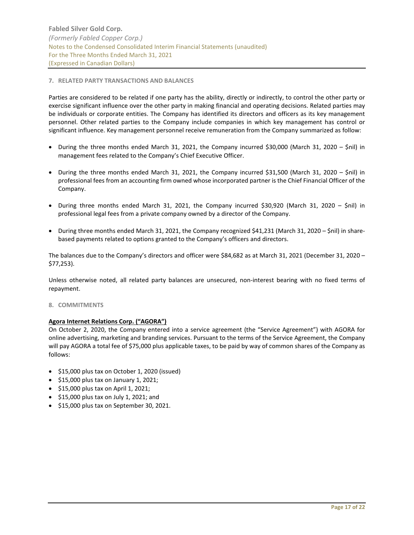## <span id="page-16-0"></span>**7. RELATED PARTY TRANSACTIONS AND BALANCES**

Parties are considered to be related if one party has the ability, directly or indirectly, to control the other party or exercise significant influence over the other party in making financial and operating decisions. Related parties may be individuals or corporate entities. The Company has identified its directors and officers as its key management personnel. Other related parties to the Company include companies in which key management has control or significant influence. Key management personnel receive remuneration from the Company summarized as follow:

- During the three months ended March 31, 2021, the Company incurred \$30,000 (March 31, 2020 \$nil) in management fees related to the Company's Chief Executive Officer.
- During the three months ended March 31, 2021, the Company incurred \$31,500 (March 31, 2020 \$nil) in professional fees from an accounting firm owned whose incorporated partner is the Chief Financial Officer of the Company.
- During three months ended March 31, 2021, the Company incurred \$30,920 (March 31, 2020 \$nil) in professional legal fees from a private company owned by a director of the Company.
- During three months ended March 31, 2021, the Company recognized \$41,231 (March 31, 2020 \$nil) in sharebased payments related to options granted to the Company's officers and directors.

The balances due to the Company's directors and officer were \$84,682 as at March 31, 2021 (December 31, 2020 – \$77,253).

Unless otherwise noted, all related party balances are unsecured, non-interest bearing with no fixed terms of repayment.

<span id="page-16-1"></span>**8. COMMITMENTS**

## **Agora Internet Relations Corp. ("AGORA")**

On October 2, 2020, the Company entered into a service agreement (the "Service Agreement") with AGORA for online advertising, marketing and branding services. Pursuant to the terms of the Service Agreement, the Company will pay AGORA a total fee of \$75,000 plus applicable taxes, to be paid by way of common shares of the Company as follows:

- \$15,000 plus tax on October 1, 2020 (issued)
- $\bullet$  \$15,000 plus tax on January 1, 2021;
- \$15,000 plus tax on April 1, 2021;
- \$15,000 plus tax on July 1, 2021; and
- \$15,000 plus tax on September 30, 2021.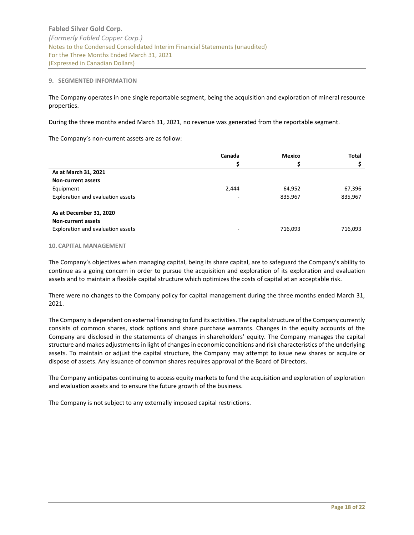## <span id="page-17-0"></span>**9. SEGMENTED INFORMATION**

The Company operates in one single reportable segment, being the acquisition and exploration of mineral resource properties.

During the three months ended March 31, 2021, no revenue was generated from the reportable segment.

The Company's non-current assets are as follow:

|                                   | Canada | <b>Mexico</b> | <b>Total</b> |
|-----------------------------------|--------|---------------|--------------|
|                                   |        |               |              |
| As at March 31, 2021              |        |               |              |
| <b>Non-current assets</b>         |        |               |              |
| Equipment                         | 2,444  | 64,952        | 67,396       |
| Exploration and evaluation assets |        | 835,967       | 835,967      |
| As at December 31, 2020           |        |               |              |
| <b>Non-current assets</b>         |        |               |              |
| Exploration and evaluation assets |        | 716,093       | 716,093      |

## <span id="page-17-1"></span>**10. CAPITAL MANAGEMENT**

The Company's objectives when managing capital, being its share capital, are to safeguard the Company's ability to continue as a going concern in order to pursue the acquisition and exploration of its exploration and evaluation assets and to maintain a flexible capital structure which optimizes the costs of capital at an acceptable risk.

There were no changes to the Company policy for capital management during the three months ended March 31, 2021.

The Company is dependent on external financing to fund its activities. The capital structure of the Company currently consists of common shares, stock options and share purchase warrants. Changes in the equity accounts of the Company are disclosed in the statements of changes in shareholders' equity. The Company manages the capital structure and makes adjustments in light of changes in economic conditions and risk characteristics of the underlying assets. To maintain or adjust the capital structure, the Company may attempt to issue new shares or acquire or dispose of assets. Any issuance of common shares requires approval of the Board of Directors.

The Company anticipates continuing to access equity markets to fund the acquisition and exploration of exploration and evaluation assets and to ensure the future growth of the business.

The Company is not subject to any externally imposed capital restrictions.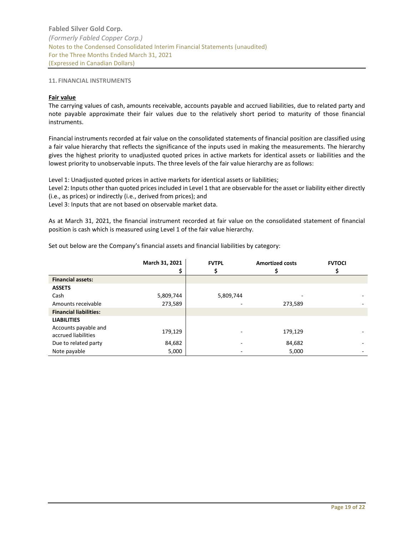## <span id="page-18-0"></span>**11. FINANCIAL INSTRUMENTS**

#### **Fair value**

The carrying values of cash, amounts receivable, accounts payable and accrued liabilities, due to related party and note payable approximate their fair values due to the relatively short period to maturity of those financial instruments.

Financial instruments recorded at fair value on the consolidated statements of financial position are classified using a fair value hierarchy that reflects the significance of the inputs used in making the measurements. The hierarchy gives the highest priority to unadjusted quoted prices in active markets for identical assets or liabilities and the lowest priority to unobservable inputs. The three levels of the fair value hierarchy are as follows:

Level 1: Unadjusted quoted prices in active markets for identical assets or liabilities;

Level 2: Inputs other than quoted prices included in Level 1 that are observable for the asset or liability either directly (i.e., as prices) or indirectly (i.e., derived from prices); and

Level 3: Inputs that are not based on observable market data.

As at March 31, 2021, the financial instrument recorded at fair value on the consolidated statement of financial position is cash which is measured using Level 1 of the fair value hierarchy.

|                                             | March 31, 2021 | <b>FVTPL</b> | <b>Amortized costs</b> | <b>FVTOCI</b> |
|---------------------------------------------|----------------|--------------|------------------------|---------------|
|                                             |                |              |                        |               |
| <b>Financial assets:</b>                    |                |              |                        |               |
| <b>ASSETS</b>                               |                |              |                        |               |
| Cash                                        | 5,809,744      | 5,809,744    |                        |               |
| Amounts receivable                          | 273,589        |              | 273,589                |               |
| <b>Financial liabilities:</b>               |                |              |                        |               |
| <b>LIABILITIES</b>                          |                |              |                        |               |
| Accounts payable and<br>accrued liabilities | 179,129        |              | 179,129                |               |
| Due to related party                        | 84,682         |              | 84,682                 |               |
| Note payable                                | 5,000          |              | 5,000                  |               |

Set out below are the Company's financial assets and financial liabilities by category: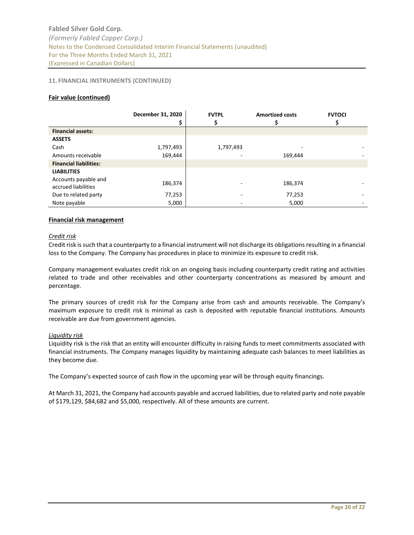# **11. FINANCIAL INSTRUMENTS (CONTINUED)**

# **Fair value (continued)**

|                                             | December 31, 2020<br>\$ | <b>FVTPL</b> | <b>Amortized costs</b> | <b>FVTOCI</b> |
|---------------------------------------------|-------------------------|--------------|------------------------|---------------|
| <b>Financial assets:</b>                    |                         |              |                        |               |
| <b>ASSETS</b>                               |                         |              |                        |               |
| Cash                                        | 1,797,493               | 1,797,493    |                        |               |
| Amounts receivable                          | 169,444                 |              | 169,444                |               |
| <b>Financial liabilities:</b>               |                         |              |                        |               |
| <b>LIABILITIES</b>                          |                         |              |                        |               |
| Accounts payable and<br>accrued liabilities | 186,374                 |              | 186,374                |               |
| Due to related party                        | 77,253                  |              | 77,253                 |               |
| Note payable                                | 5,000                   |              | 5,000                  |               |

# **Financial risk management**

## *Credit risk*

Credit risk is such that a counterparty to a financial instrument will not discharge its obligations resulting in a financial loss to the Company. The Company has procedures in place to minimize its exposure to credit risk.

Company management evaluates credit risk on an ongoing basis including counterparty credit rating and activities related to trade and other receivables and other counterparty concentrations as measured by amount and percentage.

The primary sources of credit risk for the Company arise from cash and amounts receivable. The Company's maximum exposure to credit risk is minimal as cash is deposited with reputable financial institutions. Amounts receivable are due from government agencies.

## *Liquidity risk*

Liquidity risk is the risk that an entity will encounter difficulty in raising funds to meet commitments associated with financial instruments. The Company manages liquidity by maintaining adequate cash balances to meet liabilities as they become due.

The Company's expected source of cash flow in the upcoming year will be through equity financings.

At March 31, 2021, the Company had accounts payable and accrued liabilities, due to related party and note payable of \$179,129, \$84,682 and \$5,000, respectively. All of these amounts are current.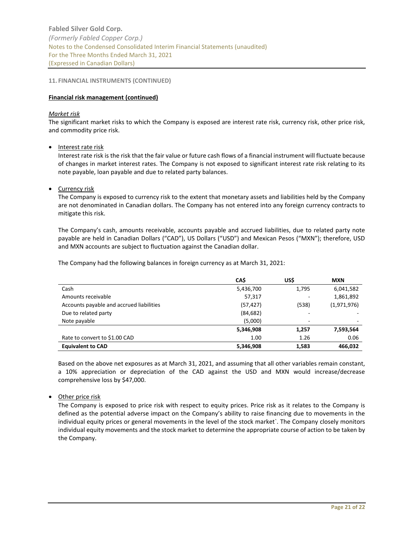**Fabled Silver Gold Corp.** *(Formerly Fabled Copper Corp.)* Notes to the Condensed Consolidated Interim Financial Statements (unaudited) For the Three Months Ended March 31, 2021 (Expressed in Canadian Dollars)

## **11. FINANCIAL INSTRUMENTS (CONTINUED)**

## **Financial risk management (continued)**

## *Market risk*

The significant market risks to which the Company is exposed are interest rate risk, currency risk, other price risk, and commodity price risk.

• Interest rate risk

Interest rate risk is the risk that the fair value or future cash flows of a financial instrument will fluctuate because of changes in market interest rates. The Company is not exposed to significant interest rate risk relating to its note payable, loan payable and due to related party balances.

## Currency risk

The Company is exposed to currency risk to the extent that monetary assets and liabilities held by the Company are not denominated in Canadian dollars. The Company has not entered into any foreign currency contracts to mitigate this risk.

The Company's cash, amounts receivable, accounts payable and accrued liabilities, due to related party note payable are held in Canadian Dollars ("CAD"), US Dollars ("USD") and Mexican Pesos ("MXN"); therefore, USD and MXN accounts are subject to fluctuation against the Canadian dollar.

The Company had the following balances in foreign currency as at March 31, 2021:

|                                          | CA\$      | US\$  | <b>MXN</b>  |
|------------------------------------------|-----------|-------|-------------|
| Cash                                     | 5,436,700 | 1,795 | 6,041,582   |
| Amounts receivable                       | 57,317    |       | 1,861,892   |
| Accounts payable and accrued liabilities | (57, 427) | (538) | (1,971,976) |
| Due to related party                     | (84, 682) |       |             |
| Note payable                             | (5,000)   |       |             |
|                                          | 5,346,908 | 1,257 | 7,593,564   |
| Rate to convert to \$1.00 CAD            | 1.00      | 1.26  | 0.06        |
| <b>Equivalent to CAD</b>                 | 5,346,908 | 1,583 | 466,032     |

Based on the above net exposures as at March 31, 2021, and assuming that all other variables remain constant, a 10% appreciation or depreciation of the CAD against the USD and MXN would increase/decrease comprehensive loss by \$47,000.

• Other price risk

The Company is exposed to price risk with respect to equity prices. Price risk as it relates to the Company is defined as the potential adverse impact on the Company's ability to raise financing due to movements in the individual equity prices or general movements in the level of the stock market`. The Company closely monitors individual equity movements and the stock market to determine the appropriate course of action to be taken by the Company.